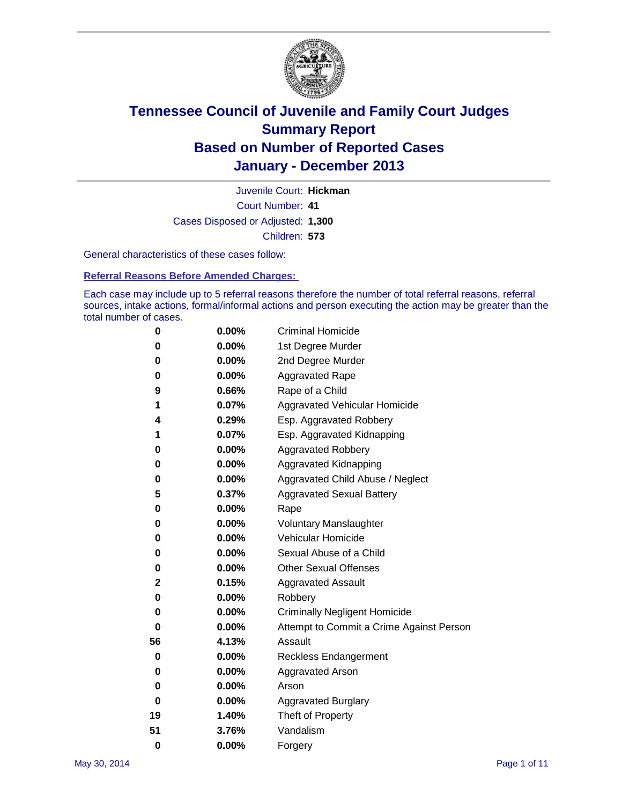

Court Number: **41** Juvenile Court: **Hickman** Cases Disposed or Adjusted: **1,300** Children: **573**

General characteristics of these cases follow:

**Referral Reasons Before Amended Charges:** 

Each case may include up to 5 referral reasons therefore the number of total referral reasons, referral sources, intake actions, formal/informal actions and person executing the action may be greater than the total number of cases.

| 0        | 0.00%    | <b>Criminal Homicide</b>                 |
|----------|----------|------------------------------------------|
| 0        | 0.00%    | 1st Degree Murder                        |
| 0        | 0.00%    | 2nd Degree Murder                        |
| 0        | $0.00\%$ | <b>Aggravated Rape</b>                   |
| 9        | 0.66%    | Rape of a Child                          |
| 1        | 0.07%    | <b>Aggravated Vehicular Homicide</b>     |
| 4        | 0.29%    | Esp. Aggravated Robbery                  |
| 1        | 0.07%    | Esp. Aggravated Kidnapping               |
| 0        | 0.00%    | <b>Aggravated Robbery</b>                |
| 0        | 0.00%    | Aggravated Kidnapping                    |
| 0        | 0.00%    | Aggravated Child Abuse / Neglect         |
| 5        | 0.37%    | <b>Aggravated Sexual Battery</b>         |
| 0        | $0.00\%$ | Rape                                     |
| 0        | 0.00%    | <b>Voluntary Manslaughter</b>            |
| 0        | 0.00%    | Vehicular Homicide                       |
| 0        | $0.00\%$ | Sexual Abuse of a Child                  |
| 0        | 0.00%    | <b>Other Sexual Offenses</b>             |
| 2        | 0.15%    | <b>Aggravated Assault</b>                |
| 0        | 0.00%    | Robbery                                  |
| 0        | 0.00%    | <b>Criminally Negligent Homicide</b>     |
| 0        | 0.00%    | Attempt to Commit a Crime Against Person |
| 56       | 4.13%    | Assault                                  |
| 0        | 0.00%    | <b>Reckless Endangerment</b>             |
| 0        | 0.00%    | <b>Aggravated Arson</b>                  |
| 0        | 0.00%    | Arson                                    |
| 0        | 0.00%    | <b>Aggravated Burglary</b>               |
| 19       | 1.40%    | Theft of Property                        |
| 51       | 3.76%    | Vandalism                                |
| $\bf{0}$ | 0.00%    | Forgery                                  |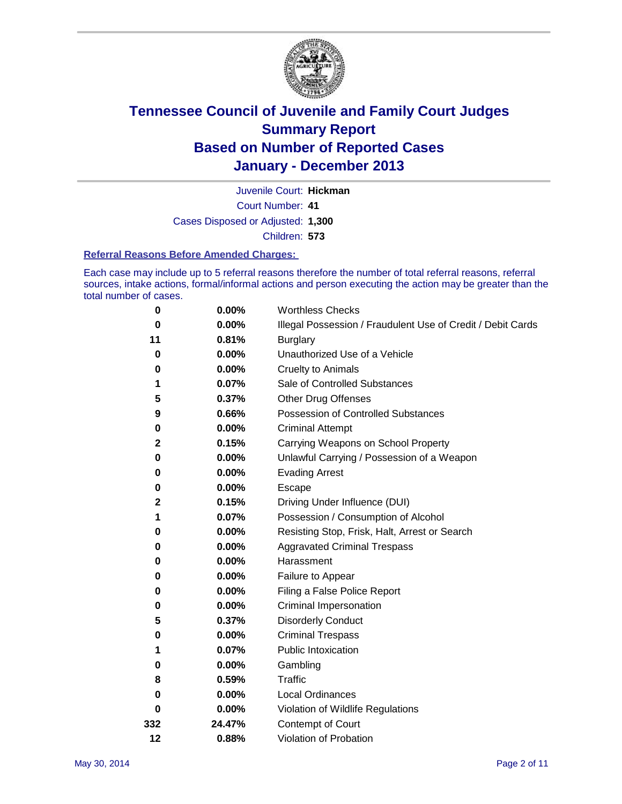

Court Number: **41** Juvenile Court: **Hickman** Cases Disposed or Adjusted: **1,300** Children: **573**

#### **Referral Reasons Before Amended Charges:**

Each case may include up to 5 referral reasons therefore the number of total referral reasons, referral sources, intake actions, formal/informal actions and person executing the action may be greater than the total number of cases.

| 0            | 0.00%    | <b>Worthless Checks</b>                                     |
|--------------|----------|-------------------------------------------------------------|
| 0            | 0.00%    | Illegal Possession / Fraudulent Use of Credit / Debit Cards |
| 11           | 0.81%    | <b>Burglary</b>                                             |
| 0            | 0.00%    | Unauthorized Use of a Vehicle                               |
| 0            | 0.00%    | <b>Cruelty to Animals</b>                                   |
| 1            | 0.07%    | Sale of Controlled Substances                               |
| 5            | 0.37%    | <b>Other Drug Offenses</b>                                  |
| 9            | 0.66%    | Possession of Controlled Substances                         |
| $\pmb{0}$    | 0.00%    | <b>Criminal Attempt</b>                                     |
| $\mathbf{2}$ | 0.15%    | Carrying Weapons on School Property                         |
| 0            | 0.00%    | Unlawful Carrying / Possession of a Weapon                  |
| 0            | 0.00%    | <b>Evading Arrest</b>                                       |
| 0            | 0.00%    | Escape                                                      |
| $\mathbf 2$  | 0.15%    | Driving Under Influence (DUI)                               |
| 1            | 0.07%    | Possession / Consumption of Alcohol                         |
| 0            | 0.00%    | Resisting Stop, Frisk, Halt, Arrest or Search               |
| 0            | 0.00%    | <b>Aggravated Criminal Trespass</b>                         |
| 0            | $0.00\%$ | Harassment                                                  |
| 0            | 0.00%    | Failure to Appear                                           |
| 0            | 0.00%    | Filing a False Police Report                                |
| 0            | 0.00%    | Criminal Impersonation                                      |
| 5            | 0.37%    | <b>Disorderly Conduct</b>                                   |
| 0            | 0.00%    | <b>Criminal Trespass</b>                                    |
| 1            | 0.07%    | <b>Public Intoxication</b>                                  |
| 0            | 0.00%    | Gambling                                                    |
| 8            | 0.59%    | Traffic                                                     |
| 0            | $0.00\%$ | <b>Local Ordinances</b>                                     |
| 0            | 0.00%    | Violation of Wildlife Regulations                           |
| 332          | 24.47%   | Contempt of Court                                           |
| 12           | 0.88%    | Violation of Probation                                      |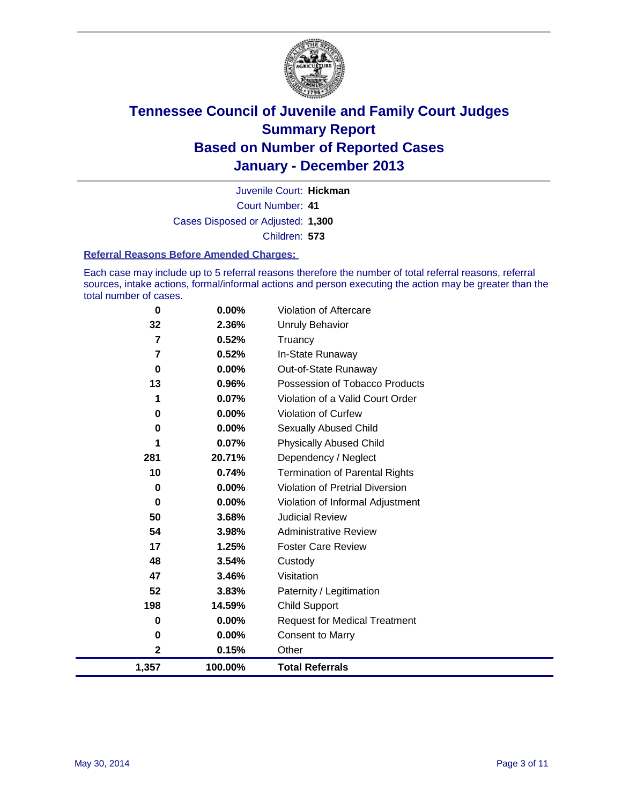

Court Number: **41** Juvenile Court: **Hickman** Cases Disposed or Adjusted: **1,300** Children: **573**

#### **Referral Reasons Before Amended Charges:**

Each case may include up to 5 referral reasons therefore the number of total referral reasons, referral sources, intake actions, formal/informal actions and person executing the action may be greater than the total number of cases.

| $\bf{0}$ | 0.00%    | Violation of Aftercare                 |
|----------|----------|----------------------------------------|
| 32       | 2.36%    | Unruly Behavior                        |
| 7        | 0.52%    | Truancy                                |
| 7        | 0.52%    | In-State Runaway                       |
| 0        | 0.00%    | Out-of-State Runaway                   |
| 13       | 0.96%    | Possession of Tobacco Products         |
|          | 0.07%    | Violation of a Valid Court Order       |
| 0        | 0.00%    | <b>Violation of Curfew</b>             |
| 0        | $0.00\%$ | <b>Sexually Abused Child</b>           |
|          | 0.07%    | <b>Physically Abused Child</b>         |
| 281      | 20.71%   | Dependency / Neglect                   |
| 10       | 0.74%    | <b>Termination of Parental Rights</b>  |
| 0        | 0.00%    | <b>Violation of Pretrial Diversion</b> |
| 0        | 0.00%    | Violation of Informal Adjustment       |
| 50       | 3.68%    | <b>Judicial Review</b>                 |
| 54       | 3.98%    | <b>Administrative Review</b>           |
| 17       | 1.25%    | <b>Foster Care Review</b>              |
| 48       | 3.54%    | Custody                                |
| 47       | 3.46%    | Visitation                             |
| 52       | 3.83%    | Paternity / Legitimation               |
| 198      | 14.59%   | <b>Child Support</b>                   |
| 0        | 0.00%    | <b>Request for Medical Treatment</b>   |
| 0        | 0.00%    | <b>Consent to Marry</b>                |
| 2        | 0.15%    | Other                                  |
| 1,357    | 100.00%  | <b>Total Referrals</b>                 |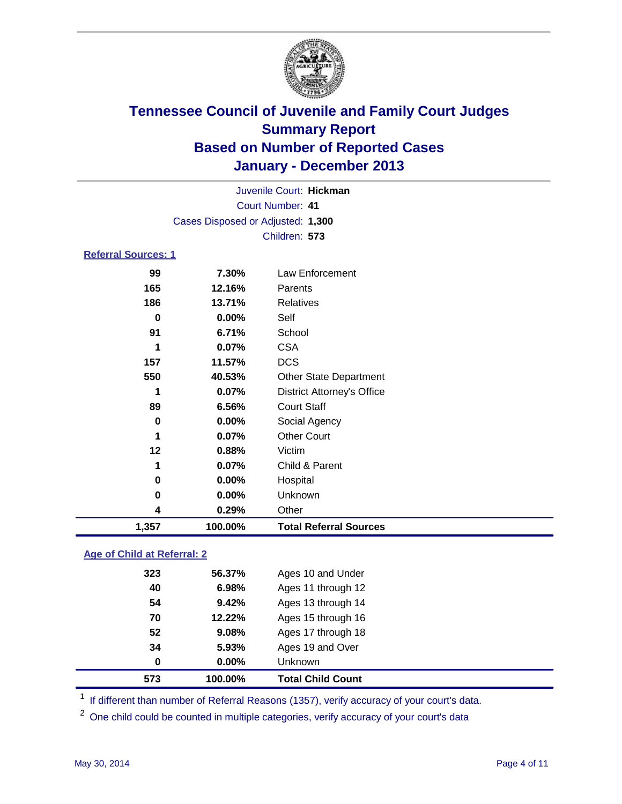

|                            |                                   | Juvenile Court: Hickman           |  |
|----------------------------|-----------------------------------|-----------------------------------|--|
|                            | Court Number: 41                  |                                   |  |
|                            | Cases Disposed or Adjusted: 1,300 |                                   |  |
|                            |                                   | Children: 573                     |  |
| <b>Referral Sources: 1</b> |                                   |                                   |  |
| 99                         | 7.30%                             | Law Enforcement                   |  |
| 165                        | 12.16%                            | Parents                           |  |
| 186                        | 13.71%                            | <b>Relatives</b>                  |  |
| $\bf{0}$                   | 0.00%                             | Self                              |  |
| 91                         | 6.71%                             | School                            |  |
| 1                          | 0.07%                             | <b>CSA</b>                        |  |
| 157                        | 11.57%                            | <b>DCS</b>                        |  |
| 550                        | 40.53%                            | Other State Department            |  |
| 1                          | 0.07%                             | <b>District Attorney's Office</b> |  |
| 89                         | 6.56%                             | <b>Court Staff</b>                |  |
| $\bf{0}$                   | 0.00%                             | Social Agency                     |  |
| 1                          | 0.07%                             | <b>Other Court</b>                |  |
| 12                         | 0.88%                             | Victim                            |  |
| 1                          | 0.07%                             | Child & Parent                    |  |
| 0                          | 0.00%                             | Hospital                          |  |
| 0                          | 0.00%                             | Unknown                           |  |
| 4                          | 0.29%                             | Other                             |  |
| 1,357                      | 100.00%                           | <b>Total Referral Sources</b>     |  |
|                            |                                   |                                   |  |

### **Age of Child at Referral: 2**

| 573 | 100.00%  | <b>Total Child Count</b> |
|-----|----------|--------------------------|
| 0   | $0.00\%$ | Unknown                  |
| 34  | 5.93%    | Ages 19 and Over         |
| 52  | 9.08%    | Ages 17 through 18       |
| 70  | 12.22%   | Ages 15 through 16       |
| 54  | 9.42%    | Ages 13 through 14       |
| 40  | 6.98%    | Ages 11 through 12       |
| 323 | 56.37%   | Ages 10 and Under        |
|     |          |                          |

<sup>1</sup> If different than number of Referral Reasons (1357), verify accuracy of your court's data.

<sup>2</sup> One child could be counted in multiple categories, verify accuracy of your court's data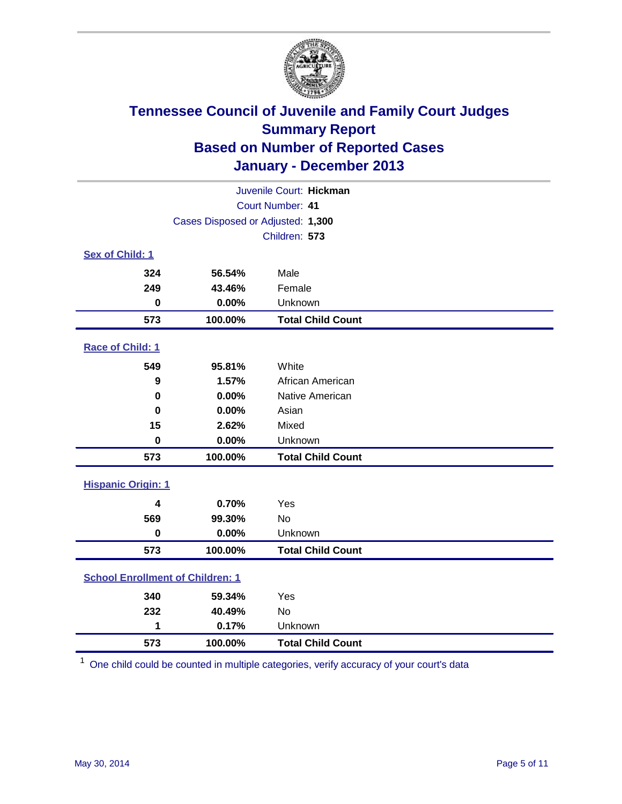

|                                         | Juvenile Court: Hickman           |                          |  |  |  |  |
|-----------------------------------------|-----------------------------------|--------------------------|--|--|--|--|
|                                         | Court Number: 41                  |                          |  |  |  |  |
|                                         | Cases Disposed or Adjusted: 1,300 |                          |  |  |  |  |
|                                         |                                   | Children: 573            |  |  |  |  |
| Sex of Child: 1                         |                                   |                          |  |  |  |  |
| 324                                     | 56.54%                            | Male                     |  |  |  |  |
| 249                                     | 43.46%                            | Female                   |  |  |  |  |
| $\bf{0}$                                | 0.00%                             | Unknown                  |  |  |  |  |
| 573                                     | 100.00%                           | <b>Total Child Count</b> |  |  |  |  |
| Race of Child: 1                        |                                   |                          |  |  |  |  |
| 549                                     | 95.81%                            | White                    |  |  |  |  |
| 9                                       | 1.57%                             | African American         |  |  |  |  |
| 0                                       | 0.00%                             | Native American          |  |  |  |  |
| 0                                       | 0.00%                             | Asian                    |  |  |  |  |
| 15                                      | 2.62%                             | Mixed                    |  |  |  |  |
| $\bf{0}$                                | 0.00%                             | Unknown                  |  |  |  |  |
| 573                                     | 100.00%                           | <b>Total Child Count</b> |  |  |  |  |
| <b>Hispanic Origin: 1</b>               |                                   |                          |  |  |  |  |
| 4                                       | 0.70%                             | Yes                      |  |  |  |  |
| 569                                     | 99.30%                            | No                       |  |  |  |  |
| $\mathbf 0$                             | 0.00%                             | Unknown                  |  |  |  |  |
| 573                                     | 100.00%                           | <b>Total Child Count</b> |  |  |  |  |
| <b>School Enrollment of Children: 1</b> |                                   |                          |  |  |  |  |
| 340                                     | 59.34%                            | Yes                      |  |  |  |  |
| 232                                     | 40.49%                            | <b>No</b>                |  |  |  |  |
| 1                                       | 0.17%                             | Unknown                  |  |  |  |  |
| 573                                     | 100.00%                           | <b>Total Child Count</b> |  |  |  |  |

One child could be counted in multiple categories, verify accuracy of your court's data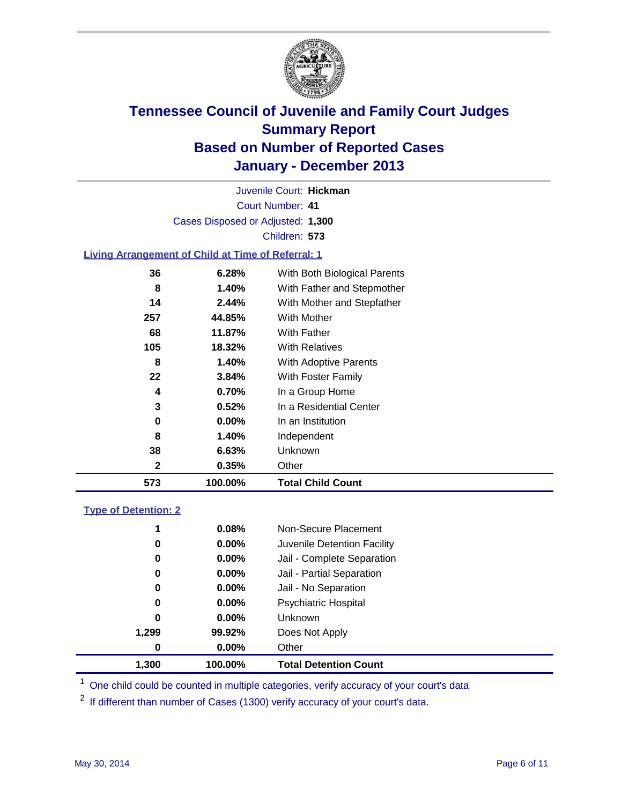

Court Number: **41** Juvenile Court: **Hickman** Cases Disposed or Adjusted: **1,300** Children: **573**

### **Living Arrangement of Child at Time of Referral: 1**

| 573          | 100.00% | <b>Total Child Count</b>     |
|--------------|---------|------------------------------|
| $\mathbf{2}$ | 0.35%   | Other                        |
| 38           | 6.63%   | Unknown                      |
| 8            | 1.40%   | Independent                  |
| 0            | 0.00%   | In an Institution            |
| 3            | 0.52%   | In a Residential Center      |
| 4            | 0.70%   | In a Group Home              |
| 22           | 3.84%   | With Foster Family           |
| 8            | 1.40%   | <b>With Adoptive Parents</b> |
| 105          | 18.32%  | <b>With Relatives</b>        |
| 68           | 11.87%  | With Father                  |
| 257          | 44.85%  | With Mother                  |
| 14           | 2.44%   | With Mother and Stepfather   |
| 8            | 1.40%   | With Father and Stepmother   |
| 36           | 6.28%   | With Both Biological Parents |
|              |         |                              |

#### **Type of Detention: 2**

| 1,300 | 100.00%  | <b>Total Detention Count</b> |  |
|-------|----------|------------------------------|--|
| 0     | 0.00%    | Other                        |  |
| 1,299 | 99.92%   | Does Not Apply               |  |
| 0     | $0.00\%$ | <b>Unknown</b>               |  |
| 0     | $0.00\%$ | <b>Psychiatric Hospital</b>  |  |
| 0     | 0.00%    | Jail - No Separation         |  |
| 0     | 0.00%    | Jail - Partial Separation    |  |
| 0     | 0.00%    | Jail - Complete Separation   |  |
| 0     | 0.00%    | Juvenile Detention Facility  |  |
| 1     | 0.08%    | Non-Secure Placement         |  |
|       |          |                              |  |

<sup>1</sup> One child could be counted in multiple categories, verify accuracy of your court's data

<sup>2</sup> If different than number of Cases (1300) verify accuracy of your court's data.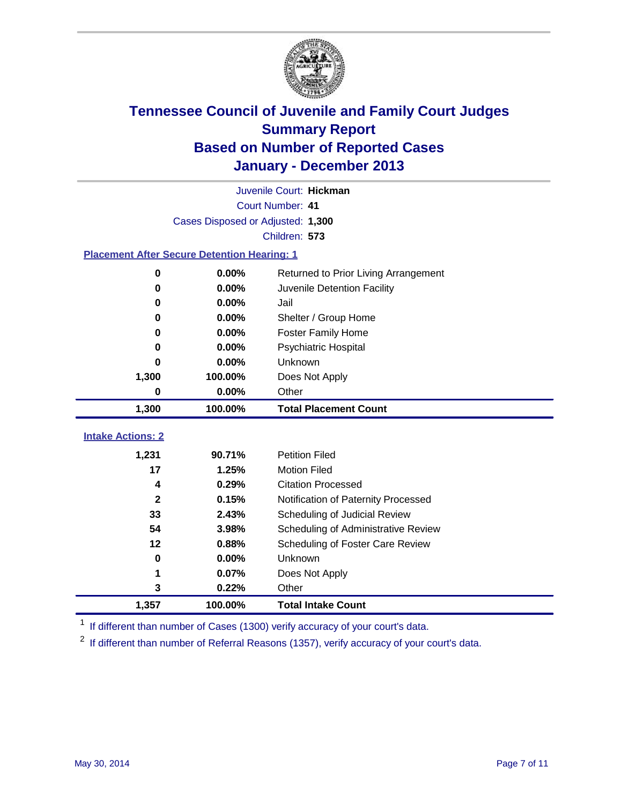

|                                                    |                                   | Juvenile Court: Hickman              |
|----------------------------------------------------|-----------------------------------|--------------------------------------|
|                                                    |                                   | Court Number: 41                     |
|                                                    | Cases Disposed or Adjusted: 1,300 |                                      |
|                                                    |                                   | Children: 573                        |
| <b>Placement After Secure Detention Hearing: 1</b> |                                   |                                      |
| 0                                                  | 0.00%                             | Returned to Prior Living Arrangement |
| 0                                                  | 0.00%                             | Juvenile Detention Facility          |
| 0                                                  | 0.00%                             | Jail                                 |
| 0                                                  | 0.00%                             | Shelter / Group Home                 |
| 0                                                  | 0.00%                             | <b>Foster Family Home</b>            |
| 0                                                  | 0.00%                             | <b>Psychiatric Hospital</b>          |
| 0                                                  | 0.00%                             | Unknown                              |
| 1,300                                              | 100.00%                           | Does Not Apply                       |
| 0                                                  | 0.00%                             | Other                                |
| 1,300                                              | 100.00%                           | <b>Total Placement Count</b>         |
|                                                    |                                   |                                      |
| <b>Intake Actions: 2</b>                           |                                   |                                      |
| 1,231                                              | 90.71%                            | <b>Petition Filed</b>                |
| 17                                                 | 1.25%                             | <b>Motion Filed</b>                  |
| 4                                                  | 0.29%                             | <b>Citation Processed</b>            |
| $\mathbf{2}$                                       | 0.15%                             | Notification of Paternity Processed  |
| 33                                                 | 2.43%                             | Scheduling of Judicial Review        |
| 54                                                 | 3.98%                             | Scheduling of Administrative Review  |
| 12                                                 | 0.88%                             | Scheduling of Foster Care Review     |
| 0                                                  | 0.00%                             | Unknown                              |
| 1                                                  | 0.07%                             | Does Not Apply                       |
| 3                                                  | 0.22%                             | Other                                |
| 1,357                                              | 100.00%                           | <b>Total Intake Count</b>            |

<sup>1</sup> If different than number of Cases (1300) verify accuracy of your court's data.

 $2$  If different than number of Referral Reasons (1357), verify accuracy of your court's data.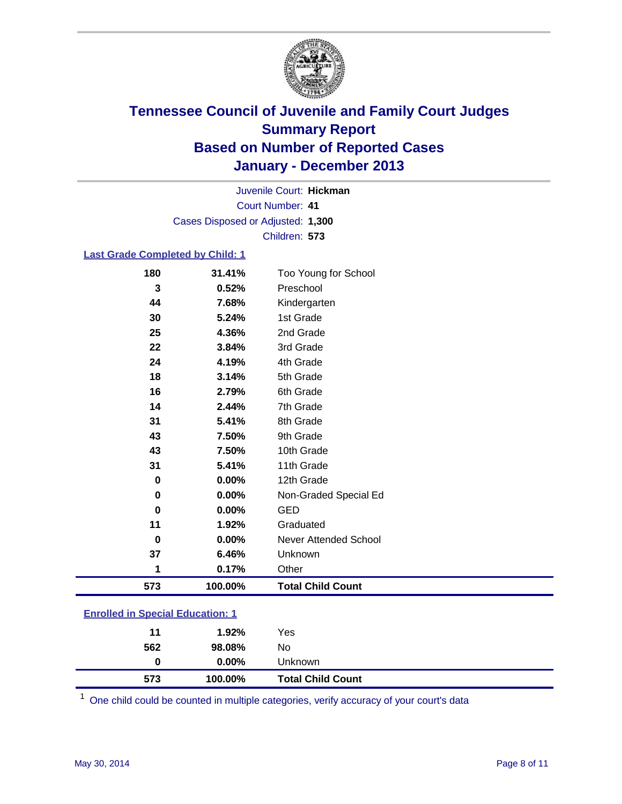

Court Number: **41** Juvenile Court: **Hickman** Cases Disposed or Adjusted: **1,300** Children: **573**

### **Last Grade Completed by Child: 1**

| 180         | 31.41%  | Too Young for School     |
|-------------|---------|--------------------------|
| 3           | 0.52%   | Preschool                |
| 44          | 7.68%   | Kindergarten             |
| 30          | 5.24%   | 1st Grade                |
| 25          | 4.36%   | 2nd Grade                |
| 22          | 3.84%   | 3rd Grade                |
| 24          | 4.19%   | 4th Grade                |
| 18          | 3.14%   | 5th Grade                |
| 16          | 2.79%   | 6th Grade                |
| 14          | 2.44%   | 7th Grade                |
| 31          | 5.41%   | 8th Grade                |
| 43          | 7.50%   | 9th Grade                |
| 43          | 7.50%   | 10th Grade               |
| 31          | 5.41%   | 11th Grade               |
| 0           | 0.00%   | 12th Grade               |
| 0           | 0.00%   | Non-Graded Special Ed    |
| 0           | 0.00%   | <b>GED</b>               |
| 11          | 1.92%   | Graduated                |
| $\mathbf 0$ | 0.00%   | Never Attended School    |
| 37          | 6.46%   | Unknown                  |
| 1           | 0.17%   | Other                    |
| 573         | 100.00% | <b>Total Child Count</b> |
|             |         |                          |

|  | <b>Enrolled in Special Education: 1</b> |
|--|-----------------------------------------|
|  |                                         |

| 11<br>562 | 1.92%<br>98.08% | Yes<br>No                |  |
|-----------|-----------------|--------------------------|--|
| 0         | $0.00\%$        | Unknown                  |  |
| 573       | 100.00%         | <b>Total Child Count</b> |  |

One child could be counted in multiple categories, verify accuracy of your court's data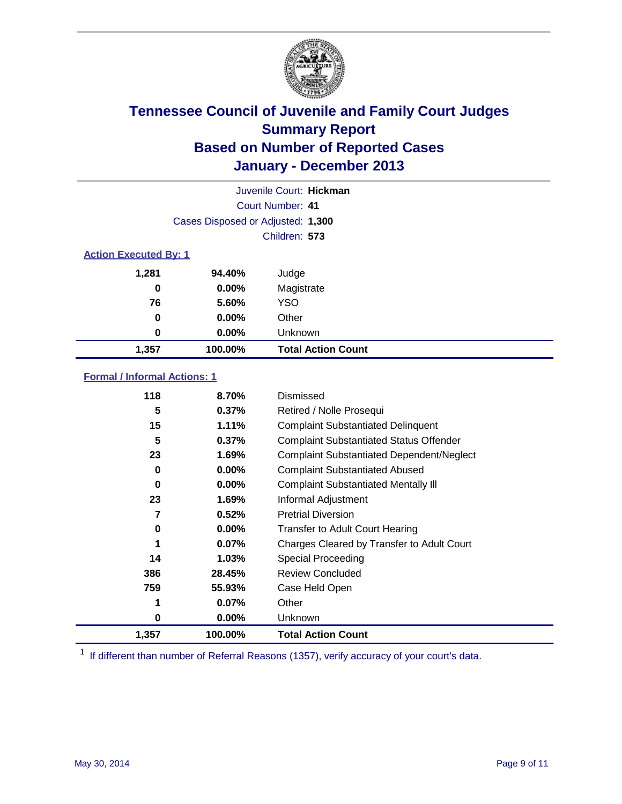

|                              |                                   | Juvenile Court: Hickman   |
|------------------------------|-----------------------------------|---------------------------|
|                              |                                   | Court Number: 41          |
|                              | Cases Disposed or Adjusted: 1,300 |                           |
|                              |                                   | Children: 573             |
| <b>Action Executed By: 1</b> |                                   |                           |
| 1,281                        | 94.40%                            | Judge                     |
| 0                            | $0.00\%$                          | Magistrate                |
| 76                           | 5.60%                             | <b>YSO</b>                |
| 0                            | $0.00\%$                          | Other                     |
| 0                            | $0.00\%$                          | Unknown                   |
| 1,357                        | 100.00%                           | <b>Total Action Count</b> |

### **Formal / Informal Actions: 1**

| 118      | 8.70%    | Dismissed                                        |
|----------|----------|--------------------------------------------------|
| 5        | 0.37%    | Retired / Nolle Prosequi                         |
| 15       | 1.11%    | <b>Complaint Substantiated Delinquent</b>        |
| 5        | 0.37%    | <b>Complaint Substantiated Status Offender</b>   |
| 23       | 1.69%    | <b>Complaint Substantiated Dependent/Neglect</b> |
| 0        | $0.00\%$ | <b>Complaint Substantiated Abused</b>            |
| $\bf{0}$ | $0.00\%$ | <b>Complaint Substantiated Mentally III</b>      |
| 23       | 1.69%    | Informal Adjustment                              |
| 7        | 0.52%    | <b>Pretrial Diversion</b>                        |
| 0        | $0.00\%$ | <b>Transfer to Adult Court Hearing</b>           |
|          | $0.07\%$ | Charges Cleared by Transfer to Adult Court       |
| 14       | 1.03%    | Special Proceeding                               |
| 386      | 28.45%   | <b>Review Concluded</b>                          |
| 759      | 55.93%   | Case Held Open                                   |
|          | 0.07%    | Other                                            |
| 0        | $0.00\%$ | Unknown                                          |
| 1,357    | 100.00%  | <b>Total Action Count</b>                        |

<sup>1</sup> If different than number of Referral Reasons (1357), verify accuracy of your court's data.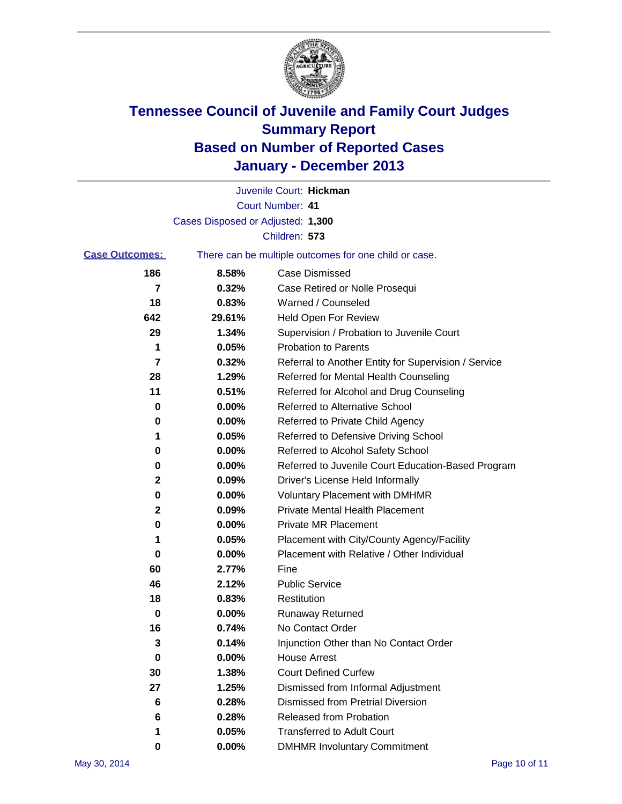

|                       |                                   | Juvenile Court: Hickman                               |
|-----------------------|-----------------------------------|-------------------------------------------------------|
|                       |                                   | Court Number: 41                                      |
|                       | Cases Disposed or Adjusted: 1,300 |                                                       |
|                       |                                   | Children: 573                                         |
| <b>Case Outcomes:</b> |                                   | There can be multiple outcomes for one child or case. |
| 186                   | 8.58%                             | <b>Case Dismissed</b>                                 |
| 7                     | 0.32%                             | Case Retired or Nolle Prosequi                        |
| 18                    | 0.83%                             | Warned / Counseled                                    |
| 642                   | 29.61%                            | <b>Held Open For Review</b>                           |
| 29                    | 1.34%                             | Supervision / Probation to Juvenile Court             |
| 1                     | 0.05%                             | <b>Probation to Parents</b>                           |
| 7                     | 0.32%                             | Referral to Another Entity for Supervision / Service  |
| 28                    | 1.29%                             | Referred for Mental Health Counseling                 |
| 11                    | 0.51%                             | Referred for Alcohol and Drug Counseling              |
| 0                     | 0.00%                             | <b>Referred to Alternative School</b>                 |
| 0                     | 0.00%                             | Referred to Private Child Agency                      |
| 1                     | 0.05%                             | Referred to Defensive Driving School                  |
| 0                     | 0.00%                             | Referred to Alcohol Safety School                     |
| 0                     | 0.00%                             | Referred to Juvenile Court Education-Based Program    |
| 2                     | 0.09%                             | Driver's License Held Informally                      |
| 0                     | 0.00%                             | <b>Voluntary Placement with DMHMR</b>                 |
| 2                     | 0.09%                             | <b>Private Mental Health Placement</b>                |
| 0                     | 0.00%                             | <b>Private MR Placement</b>                           |
| 1                     | 0.05%                             | Placement with City/County Agency/Facility            |
| 0                     | 0.00%                             | Placement with Relative / Other Individual            |
| 60                    | 2.77%                             | Fine                                                  |
| 46                    | 2.12%                             | <b>Public Service</b>                                 |
| 18                    | 0.83%                             | Restitution                                           |
| 0                     | 0.00%                             | <b>Runaway Returned</b>                               |
| 16                    | 0.74%                             | No Contact Order                                      |
| 3                     | 0.14%                             | Injunction Other than No Contact Order                |
| 0                     | 0.00%                             | <b>House Arrest</b>                                   |
| 30                    | 1.38%                             | <b>Court Defined Curfew</b>                           |
| 27                    | 1.25%                             | Dismissed from Informal Adjustment                    |
| 6                     | 0.28%                             | <b>Dismissed from Pretrial Diversion</b>              |
| 6                     | 0.28%                             | Released from Probation                               |
|                       | 0.05%                             | <b>Transferred to Adult Court</b>                     |
| 0                     | $0.00\%$                          | <b>DMHMR Involuntary Commitment</b>                   |